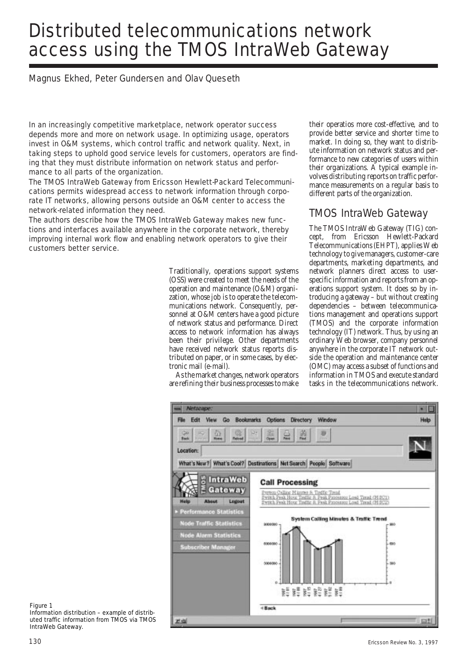# Distributed telecommunications network access using the TMOS IntraWeb Gateway

Magnus Ekhed, Peter Gundersen and Olav Queseth

In an increasingly competitive marketplace, network operator success depends more and more on network usage. In optimizing usage, operators invest in O&M systems, which control traffic and network quality. Next, in taking steps to uphold good service levels for customers, operators are finding that they must distribute information on network status and performance to all parts of the organization.

The TMOS IntraWeb Gateway from Ericsson Hewlett-Packard Telecommunications permits widespread access to network information through corporate IT networks, allowing persons outside an O&M center to access the network-related information they need.

The authors describe how the TMOS IntraWeb Gateway makes new functions and interfaces available anywhere in the corporate network, thereby improving internal work flow and enabling network operators to give their customers better service.

> Traditionally, operations support systems (OSS) were created to meet the needs of the operation and maintenance (O&M) organization, whose job is to operate the telecommunications network. Consequently, personnel at O&M centers have a good picture of network status and performance. Direct access to network information has always been their privilege. Other departments have received network status reports distributed on paper, or in some cases, by electronic mail (e-mail).

> As the market changes, network operators are refining their business processes to make

their operatios more cost-effective, and to provide better service and shorter time to market. In doing so, they want to distribute information on network status and performance to new categories of users within their organizations. A typical example involves distributing reports on traffic performance measurements on a regular basis to different parts of the organization.

# TMOS IntraWeb Gateway

The TMOS IntraWeb Gateway (TIG) concept, from Ericsson Hewlett-Packard Telecommunications (EHPT), applies Web technology to give managers, customer-care departments, marketing departments, and network planners direct access to userspecific information and reports from an operations support system. It does so by introducing a gateway – but without creating dependencies – between telecommunications management and operations support (TMOS) and the corporate information technology (IT) network. Thus, by using an ordinary Web browser, company personnel anywhere in the corporate IT network outside the operation and maintenance center (OMC) may access a subset of functions and information in TMOS and execute standard tasks in the telecommunications network.



Figure 1 Information distribution – example of distrib-

uted traffic information from TMOS via TMOS IntraWeb Gateway.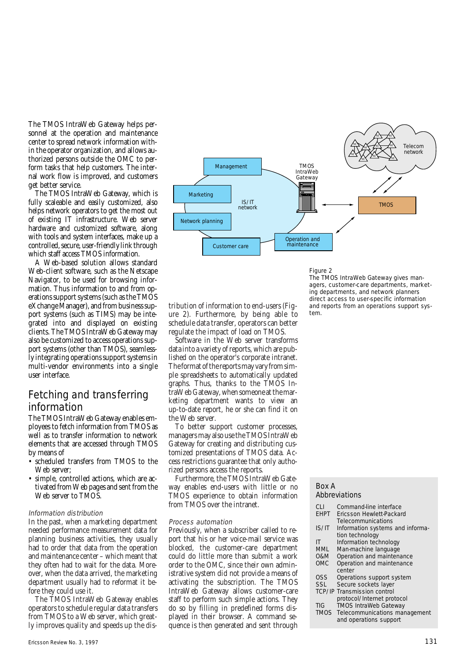The TMOS IntraWeb Gateway helps personnel at the operation and maintenance center to spread network information within the operator organization, and allows authorized persons outside the OMC to perform tasks that help customers. The internal work flow is improved, and customers get better service.

The TMOS IntraWeb Gateway, which is fully scaleable and easily customized, also helps network operators to get the most out of existing IT infrastructure. Web server hardware and customized software, along with tools and system interfaces, make up a controlled, secure, user-friendly link through which staff access TMOS information.

A Web-based solution allows standard Web-client software, such as the Netscape Navigator, to be used for browsing information. Thus information to and from operations support systems (such as the TMOS eXchange Manager), and from business support systems (such as TIMS) may be integrated into and displayed on existing clients. The TMOS IntraWeb Gateway may also be customized to access operations support systems (other than TMOS), seamlessly integrating operations support systems in multi-vendor environments into a single user interface.

# Fetching and transferring information

The TMOS IntraWeb Gateway enables employees to fetch information from TMOS as well as to transfer information to network elements that are accessed through TMOS by means of

- scheduled transfers from TMOS to the Web server:
- simple, controlled actions, which are activated from Web pages and sent from the Web server to TMOS.

## Information distribution

In the past, when a marketing department needed performance measurement data for planning business activities, they usually had to order that data from the operation and maintenance center – which meant that they often had to wait for the data. Moreover, when the data arrived, the marketing department usually had to reformat it before they could use it.

The TMOS IntraWeb Gateway enables operators to schedule regular data transfers from TMOS to a Web server, which greatly improves quality and speeds up the dis-



Figure 2

tribution of information to end-users (Figure 2). Furthermore, by being able to schedule data transfer, operators can better regulate the impact of load on TMOS.

Software in the Web server transforms data into a variety of reports, which are published on the operator's corporate intranet. The format of the reports may vary from simple spreadsheets to automatically updated graphs. Thus, thanks to the TMOS IntraWeb Gateway, when someone at the marketing department wants to view an up-to-date report, he or she can find it on the Web server.

To better support customer processes, managers may also use the TMOS IntraWeb Gateway for creating and distributing customized presentations of TMOS data. Access restrictions guarantee that only authorized persons access the reports.

Furthermore, the TMOS IntraWeb Gateway enables end-users with little or no TMOS experience to obtain information from TMOS over the intranet.

#### Process automation

Previously, when a subscriber called to report that his or her voice-mail service was blocked, the customer-care department could do little more than submit a work order to the OMC, since their own administrative system did not provide a means of activating the subscription. The TMOS IntraWeb Gateway allows customer-care staff to perform such simple actions. They do so by filling in predefined forms displayed in their browser. A command sequence is then generated and sent through The TMOS IntraWeb Gateway gives managers, customer-care departments, marketing departments, and network planners direct access to user-specific information and reports from an operations support system.

#### Box A

#### Abbreviations

| CI I        | Command-line interface             |  |  |
|-------------|------------------------------------|--|--|
| <b>EHPT</b> | Ericsson Hewlett-Packard           |  |  |
|             | Telecommunications                 |  |  |
| IS/IT       | Information systems and informa-   |  |  |
|             | tion technology                    |  |  |
| IT          | Information technology             |  |  |
| <b>MML</b>  | Man-machine language               |  |  |
| 0&M         | Operation and maintenance          |  |  |
| <b>OMC</b>  | Operation and maintenance          |  |  |
|             | center                             |  |  |
| OSS         | Operations support system          |  |  |
| <b>SSL</b>  | Secure sockets layer               |  |  |
|             | <b>TCP/IP Transmission control</b> |  |  |
|             | protocol/Internet protocol         |  |  |
| <b>TIG</b>  | <b>TMOS IntraWeb Gateway</b>       |  |  |
| <b>TMOS</b> | Telecommunications management      |  |  |
|             | and operations support             |  |  |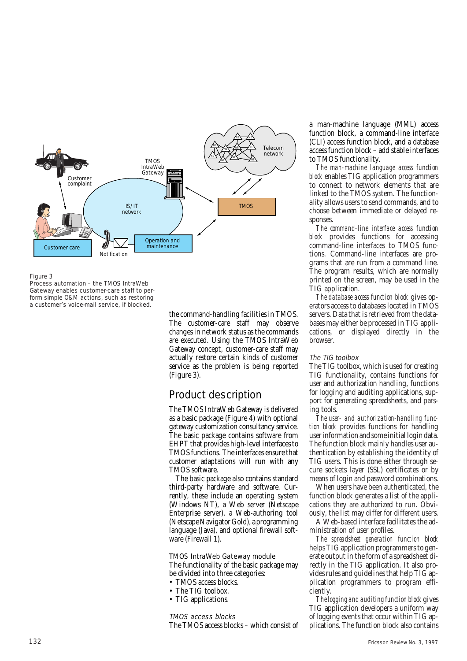

#### Figure 3

Process automation – the TMOS IntraWeb Gateway enables customer-care staff to perform simple O&M actions, such as restoring a customer's voice-mail service, if blocked.

> the command-handling facilities in TMOS. The customer-care staff may observe changes in network status as the commands are executed. Using the TMOS IntraWeb Gateway concept, customer-care staff may actually restore certain kinds of customer service as the problem is being reported (Figure 3).

# Product description

The TMOS IntraWeb Gateway is delivered as a basic package (Figure 4) with optional gateway customization consultancy service. The basic package contains software from EHPT that provides high-level interfaces to TMOS functions. The interfaces ensure that customer adaptations will run with any TMOS software.

The basic package also contains standard third-party hardware and software. Currently, these include an operating system (Windows NT), a Web server (Netscape Enterprise server), a Web-authoring tool (Netscape Navigator Gold), a programming language (Java), and optional firewall software (Firewall 1).

#### TMOS IntraWeb Gateway module

The functionality of the basic package may be divided into three categories:

- TMOS access blocks.
- The TIG toolbox.
- TIG applications.

#### TMOS access blocks

The TMOS access blocks – which consist of

a man-machine language (MML) access function block, a command-line interface (CLI) access function block, and a database access function block – add stable interfaces to TMOS functionality.

*The man-machine language access function block* enables TIG application programmers to connect to network elements that are linked to the TMOS system. The functionality allows users to send commands, and to choose between immediate or delayed responses.

*The command-line interface access function block* provides functions for accessing command-line interfaces to TMOS functions. Command-line interfaces are programs that are run from a command line. The program results, which are normally printed on the screen, may be used in the TIG application.

*The database access function block* gives operators access to databases located in TMOS servers. Data that is retrieved from the databases may either be processed in TIG applications, or displayed directly in the browser.

## The TIG toolbox

The TIG toolbox, which is used for creating TIG functionality, contains functions for user and authorization handling, functions for logging and auditing applications, support for generating spreadsheets, and parsing tools.

*The user- and authorization-handling function block* provides functions for handling user information and some initial login data. The function block mainly handles user authentication by establishing the identity of TIG users. This is done either through secure sockets layer (SSL) certificates or by means of login and password combinations.

When users have been authenticated, the function block generates a list of the applications they are authorized to run. Obviously, the list may differ for different users.

A Web-based interface facilitates the administration of user profiles.

*The spreadsheet generation function block* helps TIG application programmers to generate output in the form of a spreadsheet directly in the TIG application. It also provides rules and guidelines that help TIG application programmers to program efficiently.

*The logging and auditing function block* gives TIG application developers a uniform way of logging events that occur within TIG applications. The function block also contains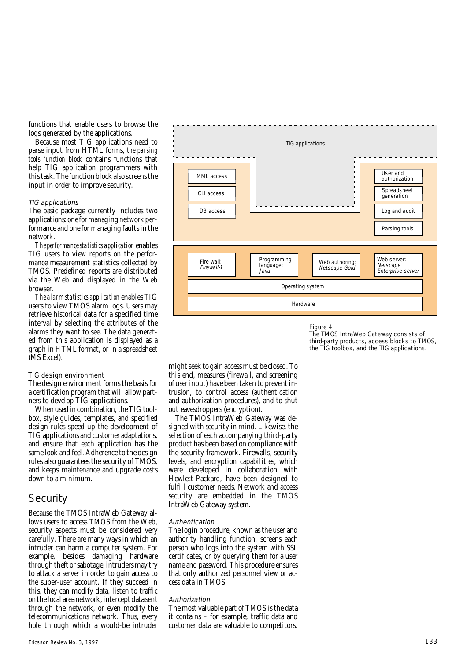functions that enable users to browse the logs generated by the applications.

Because most TIG applications need to parse input from HTML forms, *the parsing tools function block* contains functions that help TIG application programmers with this task. The function block also screens the input in order to improve security.

### TIG applications

The basic package currently includes two applications: one for managing network performance and one for managing faults in the network.

*The performance statistics application* enables TIG users to view reports on the performance measurement statistics collected by TMOS. Predefined reports are distributed via the Web and displayed in the Web browser.

*The alarm statistics application* enables TIG users to view TMOS alarm logs. Users may retrieve historical data for a specified time interval by selecting the attributes of the alarms they want to see. The data generated from this application is displayed as a graph in HTML format, or in a spreadsheet (MS Excel).

## TIG design environment

The design environment forms the basis for a certification program that will allow partners to develop TIG applications.

When used in combination, the TIG toolbox, style guides, templates, and specified design rules speed up the development of TIG applications and customer adaptations, and ensure that each application has the same look and feel. Adherence to the design rules also guarantees the security of TMOS, and keeps maintenance and upgrade costs down to a minimum.

# **Security**

Because the TMOS IntraWeb Gateway allows users to access TMOS from the Web, security aspects must be considered very carefully. There are many ways in which an intruder can harm a computer system. For example, besides damaging hardware through theft or sabotage, intruders may try to attack a server in order to gain access to the super-user account. If they succeed in this, they can modify data, listen to traffic on the local area network, intercept data sent through the network, or even modify the telecommunications network. Thus, every hole through which a would-be intruder



#### Figure 4

The TMOS IntraWeb Gateway consists of third-party products, access blocks to TMOS, the TIG toolbox, and the TIG applications.

might seek to gain access must be closed. To this end, measures (firewall, and screening of user input) have been taken to prevent intrusion, to control access (authentication and authorization procedures), and to shut out eavesdroppers (encryption).

The TMOS IntraWeb Gateway was designed with security in mind. Likewise, the selection of each accompanying third-party product has been based on compliance with the security framework. Firewalls, security levels, and encryption capabilities, which were developed in collaboration with Hewlett-Packard, have been designed to fulfill customer needs. Network and access security are embedded in the TMOS IntraWeb Gateway system.

#### Authentication

The login procedure, known as the user and authority handling function, screens each person who logs into the system with SSL certificates, or by querying them for a user name and password. This procedure ensures that only authorized personnel view or access data in TMOS.

### Authorization

The most valuable part of TMOS is the data it contains – for example, traffic data and customer data are valuable to competitors.